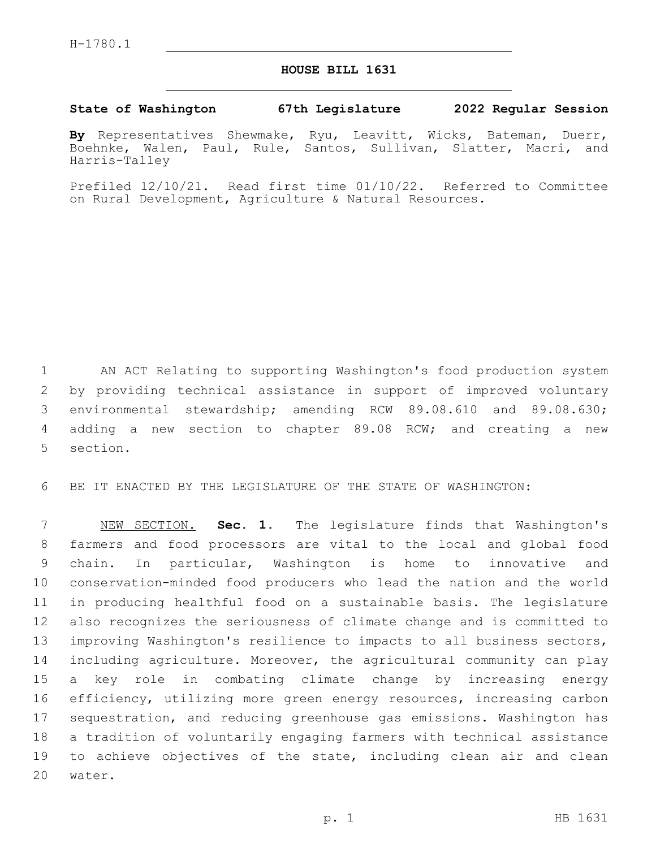## **HOUSE BILL 1631**

## **State of Washington 67th Legislature 2022 Regular Session**

**By** Representatives Shewmake, Ryu, Leavitt, Wicks, Bateman, Duerr, Boehnke, Walen, Paul, Rule, Santos, Sullivan, Slatter, Macri, and Harris-Talley

Prefiled 12/10/21. Read first time 01/10/22. Referred to Committee on Rural Development, Agriculture & Natural Resources.

 AN ACT Relating to supporting Washington's food production system by providing technical assistance in support of improved voluntary environmental stewardship; amending RCW 89.08.610 and 89.08.630; adding a new section to chapter 89.08 RCW; and creating a new 5 section.

BE IT ENACTED BY THE LEGISLATURE OF THE STATE OF WASHINGTON:

 NEW SECTION. **Sec. 1.** The legislature finds that Washington's farmers and food processors are vital to the local and global food chain. In particular, Washington is home to innovative and conservation-minded food producers who lead the nation and the world in producing healthful food on a sustainable basis. The legislature also recognizes the seriousness of climate change and is committed to improving Washington's resilience to impacts to all business sectors, including agriculture. Moreover, the agricultural community can play a key role in combating climate change by increasing energy efficiency, utilizing more green energy resources, increasing carbon sequestration, and reducing greenhouse gas emissions. Washington has a tradition of voluntarily engaging farmers with technical assistance 19 to achieve objectives of the state, including clean air and clean water.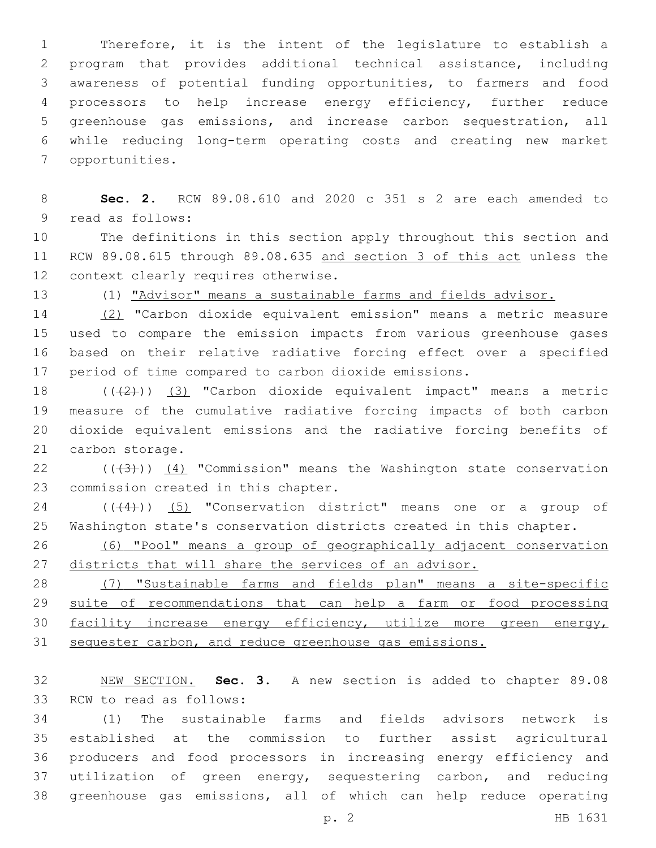Therefore, it is the intent of the legislature to establish a program that provides additional technical assistance, including awareness of potential funding opportunities, to farmers and food processors to help increase energy efficiency, further reduce greenhouse gas emissions, and increase carbon sequestration, all while reducing long-term operating costs and creating new market 7 opportunities.

 **Sec. 2.** RCW 89.08.610 and 2020 c 351 s 2 are each amended to 9 read as follows:

 The definitions in this section apply throughout this section and RCW 89.08.615 through 89.08.635 and section 3 of this act unless the 12 context clearly requires otherwise.

(1) "Advisor" means a sustainable farms and fields advisor.

 (2) "Carbon dioxide equivalent emission" means a metric measure used to compare the emission impacts from various greenhouse gases based on their relative radiative forcing effect over a specified period of time compared to carbon dioxide emissions.

 $((+2+))$  (3) "Carbon dioxide equivalent impact" means a metric measure of the cumulative radiative forcing impacts of both carbon dioxide equivalent emissions and the radiative forcing benefits of 21 carbon storage.

22  $((+3))$   $(4)$  "Commission" means the Washington state conservation 23 commission created in this chapter.

24 ((+4)) (5) "Conservation district" means one or a group of Washington state's conservation districts created in this chapter.

 (6) "Pool" means a group of geographically adjacent conservation 27 districts that will share the services of an advisor.

 (7) "Sustainable farms and fields plan" means a site-specific 29 suite of recommendations that can help a farm or food processing facility increase energy efficiency, utilize more green energy, sequester carbon, and reduce greenhouse gas emissions.

 NEW SECTION. **Sec. 3.** A new section is added to chapter 89.08 33 RCW to read as follows:

 (1) The sustainable farms and fields advisors network is established at the commission to further assist agricultural producers and food processors in increasing energy efficiency and utilization of green energy, sequestering carbon, and reducing greenhouse gas emissions, all of which can help reduce operating

p. 2 HB 1631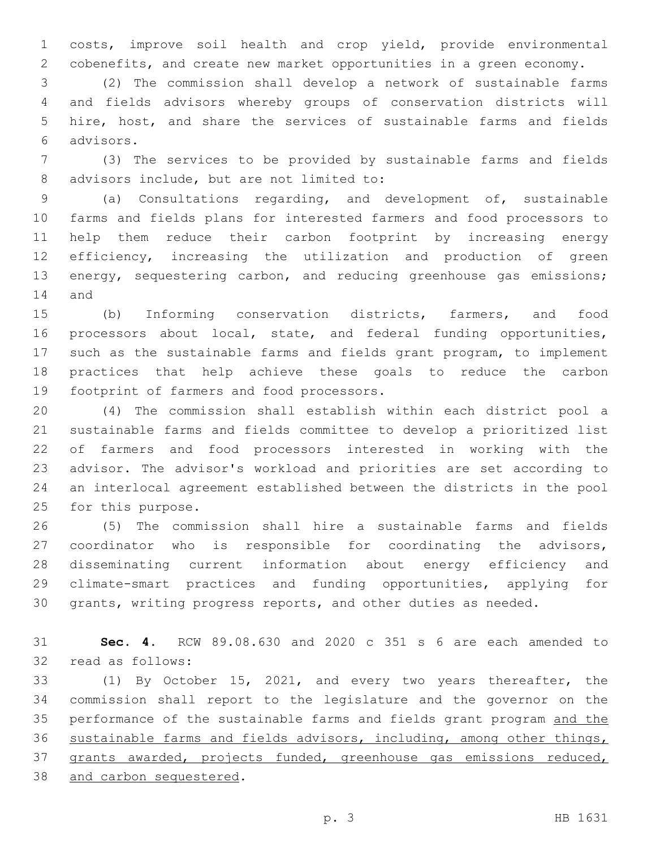costs, improve soil health and crop yield, provide environmental cobenefits, and create new market opportunities in a green economy.

 (2) The commission shall develop a network of sustainable farms and fields advisors whereby groups of conservation districts will hire, host, and share the services of sustainable farms and fields advisors.6

 (3) The services to be provided by sustainable farms and fields 8 advisors include, but are not limited to:

 (a) Consultations regarding, and development of, sustainable farms and fields plans for interested farmers and food processors to help them reduce their carbon footprint by increasing energy efficiency, increasing the utilization and production of green 13 energy, sequestering carbon, and reducing greenhouse gas emissions; 14 and

 (b) Informing conservation districts, farmers, and food 16 processors about local, state, and federal funding opportunities, such as the sustainable farms and fields grant program, to implement practices that help achieve these goals to reduce the carbon 19 footprint of farmers and food processors.

 (4) The commission shall establish within each district pool a sustainable farms and fields committee to develop a prioritized list of farmers and food processors interested in working with the advisor. The advisor's workload and priorities are set according to an interlocal agreement established between the districts in the pool 25 for this purpose.

 (5) The commission shall hire a sustainable farms and fields coordinator who is responsible for coordinating the advisors, disseminating current information about energy efficiency and climate-smart practices and funding opportunities, applying for grants, writing progress reports, and other duties as needed.

 **Sec. 4.** RCW 89.08.630 and 2020 c 351 s 6 are each amended to 32 read as follows:

 (1) By October 15, 2021, and every two years thereafter, the commission shall report to the legislature and the governor on the performance of the sustainable farms and fields grant program and the sustainable farms and fields advisors, including, among other things, grants awarded, projects funded, greenhouse gas emissions reduced, 38 and carbon sequestered.